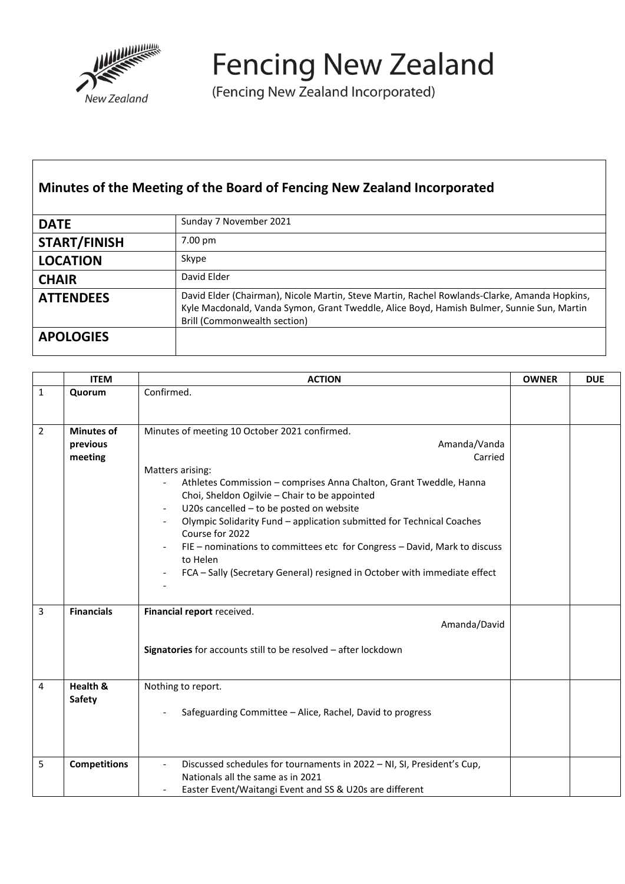

**Fencing New Zealand** 

(Fencing New Zealand Incorporated)

## **Minutes of the Meeting of the Board of Fencing New Zealand Incorporated**

| <b>DATE</b>         | Sunday 7 November 2021                                                                                                                                                                                                    |
|---------------------|---------------------------------------------------------------------------------------------------------------------------------------------------------------------------------------------------------------------------|
| <b>START/FINISH</b> | 7.00 pm                                                                                                                                                                                                                   |
| <b>LOCATION</b>     | Skype                                                                                                                                                                                                                     |
| <b>CHAIR</b>        | David Elder                                                                                                                                                                                                               |
| <b>ATTENDEES</b>    | David Elder (Chairman), Nicole Martin, Steve Martin, Rachel Rowlands-Clarke, Amanda Hopkins,<br>Kyle Macdonald, Vanda Symon, Grant Tweddle, Alice Boyd, Hamish Bulmer, Sunnie Sun, Martin<br>Brill (Commonwealth section) |
| <b>APOLOGIES</b>    |                                                                                                                                                                                                                           |

|                | <b>ITEM</b>                              | <b>ACTION</b>                                                                                                                                                                                                                                                                                                                                                                                                                                                                                                                                                 | <b>OWNER</b> | <b>DUE</b> |
|----------------|------------------------------------------|---------------------------------------------------------------------------------------------------------------------------------------------------------------------------------------------------------------------------------------------------------------------------------------------------------------------------------------------------------------------------------------------------------------------------------------------------------------------------------------------------------------------------------------------------------------|--------------|------------|
| $\mathbf{1}$   | Quorum                                   | Confirmed.                                                                                                                                                                                                                                                                                                                                                                                                                                                                                                                                                    |              |            |
| $\overline{2}$ | <b>Minutes of</b><br>previous<br>meeting | Minutes of meeting 10 October 2021 confirmed.<br>Amanda/Vanda<br>Carried<br>Matters arising:<br>Athletes Commission - comprises Anna Chalton, Grant Tweddle, Hanna<br>Choi, Sheldon Ogilvie - Chair to be appointed<br>U20s cancelled - to be posted on website<br>$\overline{\phantom{a}}$<br>Olympic Solidarity Fund - application submitted for Technical Coaches<br>Course for 2022<br>FIE - nominations to committees etc for Congress - David, Mark to discuss<br>to Helen<br>FCA - Sally (Secretary General) resigned in October with immediate effect |              |            |
| 3              | <b>Financials</b>                        | Financial report received.<br>Amanda/David<br>Signatories for accounts still to be resolved - after lockdown                                                                                                                                                                                                                                                                                                                                                                                                                                                  |              |            |
| 4              | Health &<br><b>Safety</b>                | Nothing to report.<br>Safeguarding Committee - Alice, Rachel, David to progress                                                                                                                                                                                                                                                                                                                                                                                                                                                                               |              |            |
| 5              | <b>Competitions</b>                      | Discussed schedules for tournaments in 2022 - NI, SI, President's Cup,<br>Nationals all the same as in 2021<br>Easter Event/Waitangi Event and SS & U20s are different                                                                                                                                                                                                                                                                                                                                                                                        |              |            |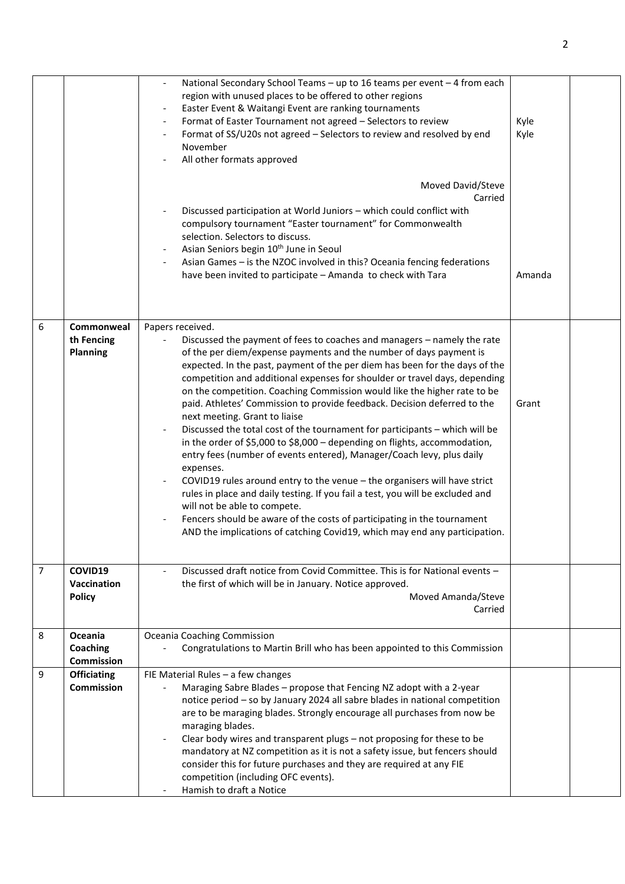|   |                                             | National Secondary School Teams - up to 16 teams per event - 4 from each<br>region with unused places to be offered to other regions<br>Easter Event & Waitangi Event are ranking tournaments<br>Format of Easter Tournament not agreed - Selectors to review<br>Format of SS/U20s not agreed - Selectors to review and resolved by end<br>November<br>All other formats approved                                                                                                                                                                                                                                                                                                                                                                                                                                                                                                                                                                                                                                                                                                                                                 | Kyle<br>Kyle |  |
|---|---------------------------------------------|-----------------------------------------------------------------------------------------------------------------------------------------------------------------------------------------------------------------------------------------------------------------------------------------------------------------------------------------------------------------------------------------------------------------------------------------------------------------------------------------------------------------------------------------------------------------------------------------------------------------------------------------------------------------------------------------------------------------------------------------------------------------------------------------------------------------------------------------------------------------------------------------------------------------------------------------------------------------------------------------------------------------------------------------------------------------------------------------------------------------------------------|--------------|--|
|   |                                             | Moved David/Steve<br>Carried<br>Discussed participation at World Juniors - which could conflict with<br>compulsory tournament "Easter tournament" for Commonwealth<br>selection. Selectors to discuss.<br>Asian Seniors begin 10 <sup>th</sup> June in Seoul<br>Asian Games - is the NZOC involved in this? Oceania fencing federations<br>have been invited to participate - Amanda to check with Tara                                                                                                                                                                                                                                                                                                                                                                                                                                                                                                                                                                                                                                                                                                                           | Amanda       |  |
| 6 | Commonweal<br>th Fencing<br><b>Planning</b> | Papers received.<br>Discussed the payment of fees to coaches and managers - namely the rate<br>of the per diem/expense payments and the number of days payment is<br>expected. In the past, payment of the per diem has been for the days of the<br>competition and additional expenses for shoulder or travel days, depending<br>on the competition. Coaching Commission would like the higher rate to be<br>paid. Athletes' Commission to provide feedback. Decision deferred to the<br>next meeting. Grant to liaise<br>Discussed the total cost of the tournament for participants - which will be<br>in the order of \$5,000 to \$8,000 - depending on flights, accommodation,<br>entry fees (number of events entered), Manager/Coach levy, plus daily<br>expenses.<br>COVID19 rules around entry to the venue - the organisers will have strict<br>rules in place and daily testing. If you fail a test, you will be excluded and<br>will not be able to compete.<br>Fencers should be aware of the costs of participating in the tournament<br>AND the implications of catching Covid19, which may end any participation. | Grant        |  |
| 7 | COVID19<br>Vaccination<br><b>Policy</b>     | Discussed draft notice from Covid Committee. This is for National events -<br>$\overline{\phantom{a}}$<br>the first of which will be in January. Notice approved.<br>Moved Amanda/Steve<br>Carried                                                                                                                                                                                                                                                                                                                                                                                                                                                                                                                                                                                                                                                                                                                                                                                                                                                                                                                                |              |  |
| 8 | Oceania<br>Coaching<br><b>Commission</b>    | Oceania Coaching Commission<br>Congratulations to Martin Brill who has been appointed to this Commission                                                                                                                                                                                                                                                                                                                                                                                                                                                                                                                                                                                                                                                                                                                                                                                                                                                                                                                                                                                                                          |              |  |
| 9 | <b>Officiating</b><br><b>Commission</b>     | FIE Material Rules - a few changes<br>Maraging Sabre Blades - propose that Fencing NZ adopt with a 2-year<br>notice period - so by January 2024 all sabre blades in national competition<br>are to be maraging blades. Strongly encourage all purchases from now be<br>maraging blades.<br>Clear body wires and transparent plugs - not proposing for these to be<br>mandatory at NZ competition as it is not a safety issue, but fencers should<br>consider this for future purchases and they are required at any FIE<br>competition (including OFC events).<br>Hamish to draft a Notice                                                                                                                                                                                                                                                                                                                                                                                                                                                                                                                                        |              |  |